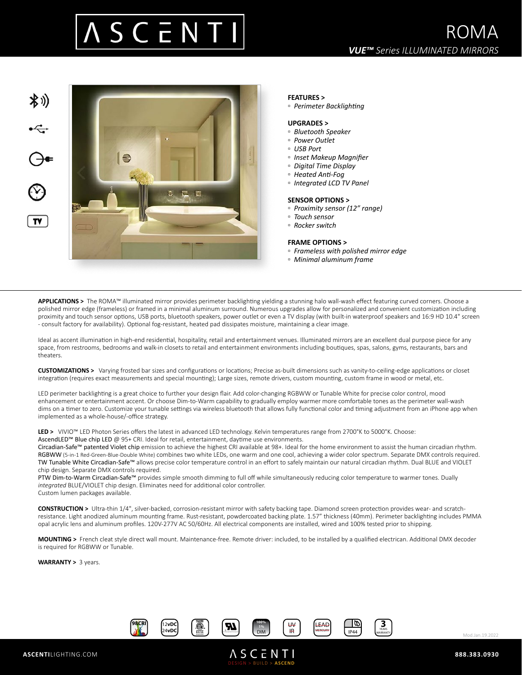



### **FEATURES >**

*▫ Perimeter Backlighting* 

#### **UPGRADES >**

- *Bluetooth Speaker*
- *Power Outlet*
- *USB Port*
- *Inset Makeup Magnifier*
- *Digital Time Display*
- *Heated Anti-Fog*
- *Integrated LCD TV Panel*

#### **SENSOR OPTIONS >**

- *Proximity sensor (12" range)*
- *Touch sensor*
- *Rocker switch*

#### **FRAME OPTIONS >**

- *Frameless with polished mirror edge*
- *Minimal aluminum frame*

**APPLICATIONS >** The ROMA™ illuminated mirror provides perimeter backlighting yielding a stunning halo wall-wash effect featuring curved corners. Choose a polished mirror edge (frameless) or framed in a minimal aluminum surround. Numerous upgrades allow for personalized and convenient customization including proximity and touch sensor options, USB ports, bluetooth speakers, power outlet or even a TV display (with built-in waterproof speakers and 16:9 HD 10.4" screen - consult factory for availability). Optional fog-resistant, heated pad dissipates moisture, maintaining a clear image.

Ideal as accent illumination in high-end residential, hospitality, retail and entertainment venues. Illuminated mirrors are an excellent dual purpose piece for any space, from restrooms, bedrooms and walk-in closets to retail and entertainment environments including boutiques, spas, salons, gyms, restaurants, bars and theaters.

**CUSTOMIZATIONS >** Varying frosted bar sizes and configurations or locations; Precise as-built dimensions such as vanity-to-ceiling-edge applications or closet integration (requires exact measurements and special mounting); Large sizes, remote drivers, custom mounting, custom frame in wood or metal, etc.

LED perimeter backlighting is a great choice to further your design flair. Add color-changing RGBWW or Tunable White for precise color control, mood enhancement or entertainment accent. Or choose Dim-to-Warm capability to gradually employ warmer more comfortable tones as the perimeter wall-wash dims on a timer to zero. Customize your tunable settings via wireless bluetooth that allows fully functional color and timing adjustment from an iPhone app when implemented as a whole-house/-office strategy.

LED > VIVIO<sup>™</sup> LED Photon Series offers the latest in advanced LED technology. Kelvin temperatures range from 2700°K to 5000°K. Choose: AscendLED™ Blue chip LED @ 95+ CRI. Ideal for retail, entertainment, daytime use environments.

Circadian-Safe™ patented Violet chip emission to achieve the highest CRI available at 98+. Ideal for the home environment to assist the human circadian rhythm. RGBWW (5-in-1 Red-Green-Blue-Double White) combines two white LEDs, one warm and one cool, achieving a wider color spectrum. Separate DMX controls required. TW Tunable White Circadian-Safe™ allows precise color temperature control in an effort to safely maintain our natural circadian rhythm. Dual BLUE and VIOLET chip design. Separate DMX controls required.

PTW Dim-to-Warm Circadian-Safe™ provides simple smooth dimming to full off while simultaneously reducing color temperature to warmer tones. Dually *integrated* BLUE/VIOLET chip design. Eliminates need for additional color controller. Custom lumen packages available.

**CONSTRUCTION >** Ultra-thin 1/4", silver-backed, corrosion-resistant mirror with safety backing tape. Diamond screen protection provides wear- and scratchresistance. Light anodized aluminum mounting frame. Rust-resistant, powdercoated backing plate. 1.57" thickness (40mm). Perimeter backlighting includes PMMA opal acrylic lens and aluminum profiles. 120V-277V AC 50/60Hz. All electrical components are installed, wired and 100% tested prior to shipping.

**MOUNTING >** French cleat style direct wall mount. Maintenance-free. Remote driver: included, to be installed by a qualified electrican. Additional DMX decoder is required for RGBWW or Tunable.

**WARRANTY >** 3 years.



DESIGN > BUILD > **ASCEND**

**ASCENTI** 



Mod.Jan.19.2022